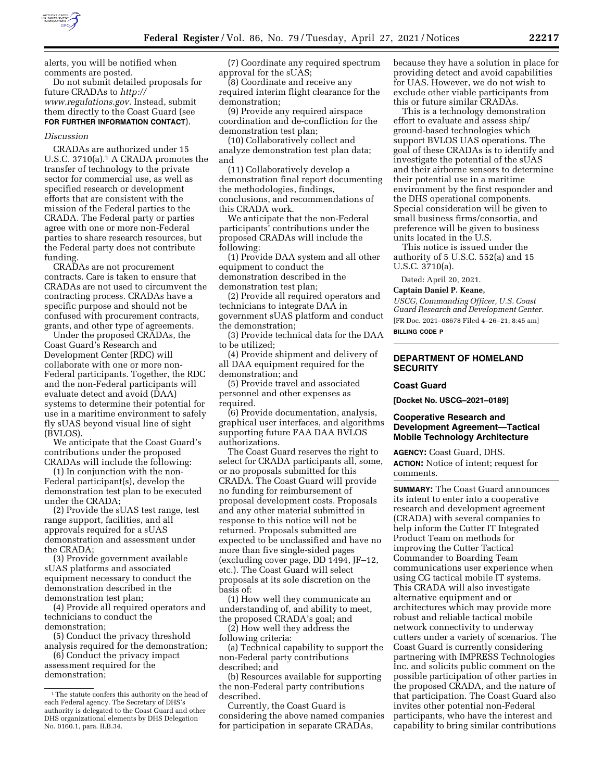

alerts, you will be notified when comments are posted.

Do not submit detailed proposals for future CRADAs to *[http://](http://www.regulations.gov) [www.regulations.gov.](http://www.regulations.gov)* Instead, submit them directly to the Coast Guard (see **FOR FURTHER INFORMATION CONTACT**).

#### *Discussion*

CRADAs are authorized under 15 U.S.C. 3710(a).1 A CRADA promotes the transfer of technology to the private sector for commercial use, as well as specified research or development efforts that are consistent with the mission of the Federal parties to the CRADA. The Federal party or parties agree with one or more non-Federal parties to share research resources, but the Federal party does not contribute funding.

CRADAs are not procurement contracts. Care is taken to ensure that CRADAs are not used to circumvent the contracting process. CRADAs have a specific purpose and should not be confused with procurement contracts, grants, and other type of agreements.

Under the proposed CRADAs, the Coast Guard's Research and Development Center (RDC) will collaborate with one or more non-Federal participants. Together, the RDC and the non-Federal participants will evaluate detect and avoid (DAA) systems to determine their potential for use in a maritime environment to safely fly sUAS beyond visual line of sight (BVLOS).

We anticipate that the Coast Guard's contributions under the proposed CRADAs will include the following:

(1) In conjunction with the non-Federal participant(s), develop the demonstration test plan to be executed under the CRADA;

(2) Provide the sUAS test range, test range support, facilities, and all approvals required for a sUAS demonstration and assessment under the CRADA;

(3) Provide government available sUAS platforms and associated equipment necessary to conduct the demonstration described in the demonstration test plan;

(4) Provide all required operators and technicians to conduct the demonstration;

(5) Conduct the privacy threshold analysis required for the demonstration;

(6) Conduct the privacy impact assessment required for the demonstration;

(7) Coordinate any required spectrum approval for the sUAS;

(8) Coordinate and receive any required interim flight clearance for the demonstration;

(9) Provide any required airspace coordination and de-confliction for the demonstration test plan;

(10) Collaboratively collect and analyze demonstration test plan data; and

(11) Collaboratively develop a demonstration final report documenting the methodologies, findings, conclusions, and recommendations of this CRADA work.

We anticipate that the non-Federal participants' contributions under the proposed CRADAs will include the following:

(1) Provide DAA system and all other equipment to conduct the demonstration described in the demonstration test plan;

(2) Provide all required operators and technicians to integrate DAA in government sUAS platform and conduct the demonstration;

(3) Provide technical data for the DAA to be utilized;

(4) Provide shipment and delivery of all DAA equipment required for the demonstration; and

(5) Provide travel and associated personnel and other expenses as required.

(6) Provide documentation, analysis, graphical user interfaces, and algorithms supporting future FAA DAA BVLOS authorizations.

The Coast Guard reserves the right to select for CRADA participants all, some, or no proposals submitted for this CRADA. The Coast Guard will provide no funding for reimbursement of proposal development costs. Proposals and any other material submitted in response to this notice will not be returned. Proposals submitted are expected to be unclassified and have no more than five single-sided pages (excluding cover page, DD 1494, JF–12, etc.). The Coast Guard will select proposals at its sole discretion on the basis of:

(1) How well they communicate an understanding of, and ability to meet, the proposed CRADA's goal; and

(2) How well they address the following criteria:

(a) Technical capability to support the non-Federal party contributions described; and

(b) Resources available for supporting the non-Federal party contributions described.

Currently, the Coast Guard is considering the above named companies for participation in separate CRADAs,

because they have a solution in place for providing detect and avoid capabilities for UAS. However, we do not wish to exclude other viable participants from this or future similar CRADAs.

This is a technology demonstration effort to evaluate and assess ship/ ground-based technologies which support BVLOS UAS operations. The goal of these CRADAs is to identify and investigate the potential of the sUAS and their airborne sensors to determine their potential use in a maritime environment by the first responder and the DHS operational components. Special consideration will be given to small business firms/consortia, and preference will be given to business units located in the U.S.

This notice is issued under the authority of 5 U.S.C. 552(a) and 15 U.S.C. 3710(a).

Dated: April 20, 2021.

**Captain Daniel P. Keane,** 

*USCG, Commanding Officer, U.S. Coast Guard Research and Development Center.*  [FR Doc. 2021–08678 Filed 4–26–21; 8:45 am]

**BILLING CODE P** 

## **DEPARTMENT OF HOMELAND SECURITY**

#### **Coast Guard**

**[Docket No. USCG–2021–0189]** 

### **Cooperative Research and Development Agreement—Tactical Mobile Technology Architecture**

**AGENCY:** Coast Guard, DHS. **ACTION:** Notice of intent; request for comments.

**SUMMARY:** The Coast Guard announces its intent to enter into a cooperative research and development agreement (CRADA) with several companies to help inform the Cutter IT Integrated Product Team on methods for improving the Cutter Tactical Commander to Boarding Team communications user experience when using CG tactical mobile IT systems. This CRADA will also investigate alternative equipment and or architectures which may provide more robust and reliable tactical mobile network connectivity to underway cutters under a variety of scenarios. The Coast Guard is currently considering partnering with IMPRESS Technologies Inc. and solicits public comment on the possible participation of other parties in the proposed CRADA, and the nature of that participation. The Coast Guard also invites other potential non-Federal participants, who have the interest and capability to bring similar contributions

<sup>&</sup>lt;sup>1</sup>The statute confers this authority on the head of each Federal agency. The Secretary of DHS's authority is delegated to the Coast Guard and other DHS organizational elements by DHS Delegation No. 0160.1, para. II.B.34.